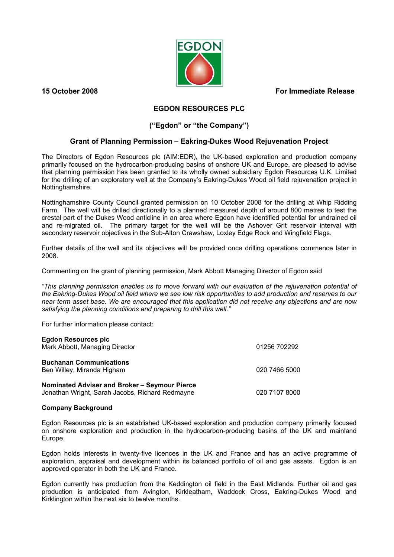**15 October 2008 For Immediate Release**



## **EGDON RESOURCES PLC**

## **("Egdon" or "the Company")**

## **Grant of Planning Permission – Eakring-Dukes Wood Rejuvenation Project**

The Directors of Egdon Resources plc (AIM:EDR), the UK-based exploration and production company primarily focused on the hydrocarbon-producing basins of onshore UK and Europe, are pleased to advise that planning permission has been granted to its wholly owned subsidiary Egdon Resources U.K. Limited for the drilling of an exploratory well at the Company's Eakring-Dukes Wood oil field rejuvenation project in Nottinghamshire.

Nottinghamshire County Council granted permission on 10 October 2008 for the drilling at Whip Ridding Farm. The well will be drilled directionally to a planned measured depth of around 800 metres to test the crestal part of the Dukes Wood anticline in an area where Egdon have identified potential for undrained oil and re-migrated oil. The primary target for the well will be the Ashover Grit reservoir interval with secondary reservoir objectives in the Sub-Alton Crawshaw, Loxley Edge Rock and Wingfield Flags.

Further details of the well and its objectives will be provided once drilling operations commence later in 2008.

Commenting on the grant of planning permission, Mark Abbott Managing Director of Egdon said

*"This planning permission enables us to move forward with our evaluation of the rejuvenation potential of the Eakring-Dukes Wood oil field where we see low risk opportunities to add production and reserves to our near term asset base. We are encouraged that this application did not receive any objections and are now satisfying the planning conditions and preparing to drill this well."* 

For further information please contact:

| <b>Egdon Resources plc</b><br>Mark Abbott, Managing Director                                     | 01256 702292  |
|--------------------------------------------------------------------------------------------------|---------------|
| <b>Buchanan Communications</b><br>Ben Willey, Miranda Higham                                     | 020 7466 5000 |
| Nominated Adviser and Broker – Seymour Pierce<br>Jonathan Wright, Sarah Jacobs, Richard Redmayne | 020 7107 8000 |

## **Company Background**

Egdon Resources plc is an established UK-based exploration and production company primarily focused on onshore exploration and production in the hydrocarbon-producing basins of the UK and mainland Europe.

Egdon holds interests in twenty-five licences in the UK and France and has an active programme of exploration, appraisal and development within its balanced portfolio of oil and gas assets. Egdon is an approved operator in both the UK and France.

Egdon currently has production from the Keddington oil field in the East Midlands. Further oil and gas production is anticipated from Avington, Kirkleatham, Waddock Cross, Eakring-Dukes Wood and Kirklington within the next six to twelve months.